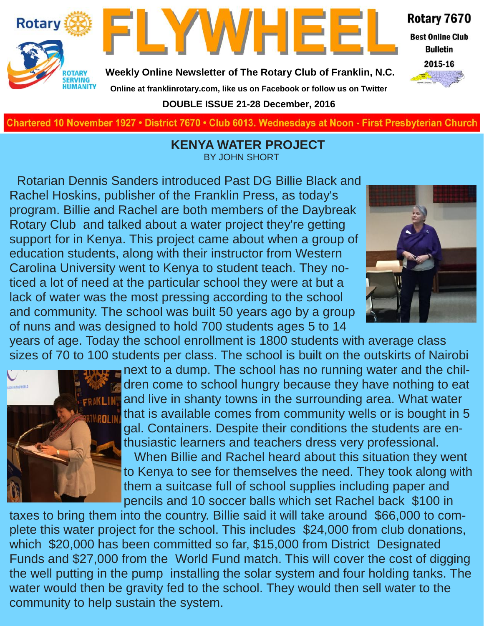



**Weekly Online Newsletter of The Rotary Club of Franklin, N.C.**

### **Online at franklinrotary.com, like us on Facebook or follow us on Twitter**

**DOUBLE ISSUE 21-28 December, 2016**

Rotary 7670 **Best Online Club** 

> **Bulletin** 2015-16



**Charted November 29, 1927 • District 7670 • Club 6013 Wednesdays at Noon - First Presbyterian Church**

 **KENYA WATER PROJECT** BY JOHN SHORT

Rotarian Dennis Sanders introduced Past DG Billie Black and Rachel Hoskins, publisher of the Franklin Press, as today's program. Billie and Rachel are both members of the Daybreak Rotary Club and talked about a water project they're getting support for in Kenya. This project came about when a group of education students, along with their instructor from Western Carolina University went to Kenya to student teach. They noticed a lot of need at the particular school they were at but a lack of water was the most pressing according to the school and community. The school was built 50 years ago by a group of nuns and was designed to hold 700 students ages 5 to 14



years of age. Today the school enrollment is 1800 students with average class sizes of 70 to 100 students per class. The school is built on the outskirts of Nairobi



next to a dump. The school has no running water and the children come to school hungry because they have nothing to eat and live in shanty towns in the surrounding area. What water that is available comes from community wells or is bought in 5 gal. Containers. Despite their conditions the students are enthusiastic learners and teachers dress very professional. When Billie and Rachel heard about this situation they went to Kenya to see for themselves the need. They took along with

them a suitcase full of school supplies including paper and pencils and 10 soccer balls which set Rachel back \$100 in

taxes to bring them into the country. Billie said it will take around \$66,000 to complete this water project for the school. This includes \$24,000 from club donations, which \$20,000 has been committed so far, \$15,000 from District Designated Funds and \$27,000 from the World Fund match. This will cover the cost of digging the well putting in the pump installing the solar system and four holding tanks. The water would then be gravity fed to the school. They would then sell water to the community to help sustain the system.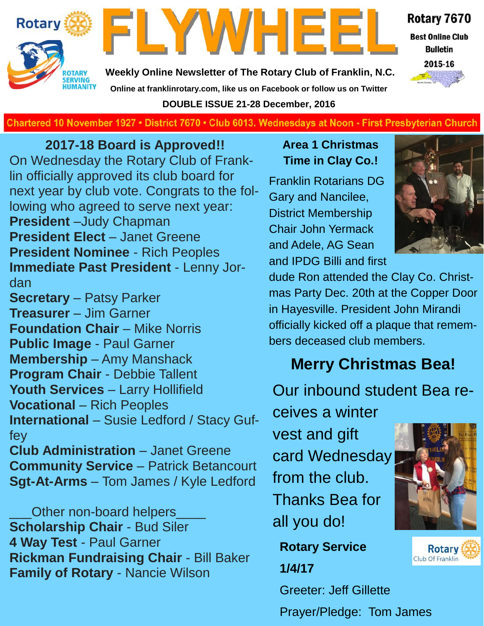



Rotary 7670

**Best Online Club Bulletin** 

2015-16

**Weekly Online Newsletter of The Rotary Club of Franklin, N.C. Online at franklinrotary.com, like us on Facebook or follow us on Twitter DOUBLE ISSUE 21-28 December, 2016**



**2017-18 Board is Approved!!** On Wednesday the Rotary Club of Franklin officially approved its club board for next year by club vote. Congrats to the following who agreed to serve next year: **President** –Judy Chapman **President Elect** – Janet Greene **President Nominee** - Rich Peoples **Immediate Past President** - Lenny Jordan

**Secretary** – Patsy Parker **Treasurer** – Jim Garner **Foundation Chair** – Mike Norris **Public Image** - Paul Garner **Membership** – Amy Manshack **Program Chair** - Debbie Tallent **Youth Services** – Larry Hollifield **Vocational** – Rich Peoples **International** – Susie Ledford / Stacy Guffey

**Club Administration** – Janet Greene **Community Service** – Patrick Betancourt **Sgt-At-Arms** – Tom James / Kyle Ledford

Other non-board helpers **Scholarship Chair** - Bud Siler **4 Way Test** - Paul Garner **Rickman Fundraising Chair** - Bill Baker **Family of Rotary** - Nancie Wilson

#### **Area 1 Christmas Time in Clay Co.!**

Franklin Rotarians DG Gary and Nancilee, District Membership Chair John Yermack and Adele, AG Sean and IPDG Billi and first



dude Ron attended the Clay Co. Christmas Party Dec. 20th at the Copper Door in Hayesville. President John Mirandi officially kicked off a plaque that remembers deceased club members.

# **Merry Christmas Bea!**

Our inbound student Bea re-

ceives a winter vest and gift card Wednesday from the club. Thanks Bea for all you do!

**Rotary Service 1/4/17**

Greeter: Jeff Gillette

Prayer/Pledge: Tom James



**Rotary** Club Of Franklin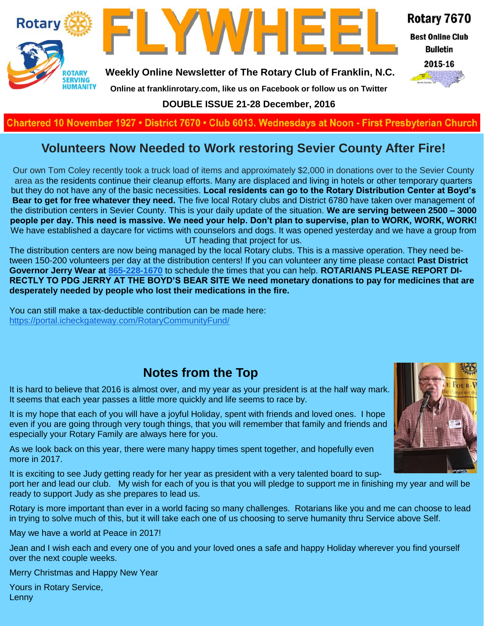

**DOUBLE ISSUE 21-28 December, 2016**

#### **Charted November 29, 1927 • District 7670 • Club 6013 Wednesdays at Noon - First Presbyterian Church**

#### **Volunteers Now Needed to Work restoring Sevier County After Fire!**

Our own Tom Coley recently took a truck load of items and approximately \$2,000 in donations over to the Sevier County area as the residents continue their cleanup efforts. Many are displaced and living in hotels or other temporary quarters but they do not have any of the basic necessities. **Local residents can go to the Rotary Distribution Center at Boyd's Bear to get for free whatever they need.** The five local Rotary clubs and District 6780 have taken over management of the distribution centers in Sevier County. This is your daily update of the situation. **We are serving between 2500 – 3000 people per day. This need is massive. We need your help. Don't plan to supervise, plan to WORK, WORK, WORK!** We have established a daycare for victims with counselors and dogs. It was opened yesterday and we have a group from UT heading that project for us.

The distribution centers are now being managed by the local Rotary clubs. This is a massive operation. They need between 150-200 volunteers per day at the distribution centers! If you can volunteer any time please contact **Past District Governor Jerry Wear at [865-228-1670](tel:(865)%20228-1670)** to schedule the times that you can help. **ROTARIANS PLEASE REPORT DI-RECTLY TO PDG JERRY AT THE BOYD'S BEAR SITE We need monetary donations to pay for medicines that are desperately needed by people who lost their medications in the fire.**

You can still make a tax-deductible contribution can be made here: <https://portal.icheckgateway.com/RotaryCommunityFund/>

#### **Notes from the Top**

It is hard to believe that 2016 is almost over, and my year as your president is at the half way mark. It seems that each year passes a little more quickly and life seems to race by.

It is my hope that each of you will have a joyful Holiday, spent with friends and loved ones. I hope even if you are going through very tough things, that you will remember that family and friends and especially your Rotary Family are always here for you.

As we look back on this year, there were many happy times spent together, and hopefully even more in 2017.

It is exciting to see Judy getting ready for her year as president with a very talented board to sup-

port her and lead our club. My wish for each of you is that you will pledge to support me in finishing my year and will be ready to support Judy as she prepares to lead us.

Rotary is more important than ever in a world facing so many challenges. Rotarians like you and me can choose to lead in trying to solve much of this, but it will take each one of us choosing to serve humanity thru Service above Self.

May we have a world at Peace in 2017!

Jean and I wish each and every one of you and your loved ones a safe and happy Holiday wherever you find yourself over the next couple weeks.

Merry Christmas and Happy New Year

Yours in Rotary Service, Lenny

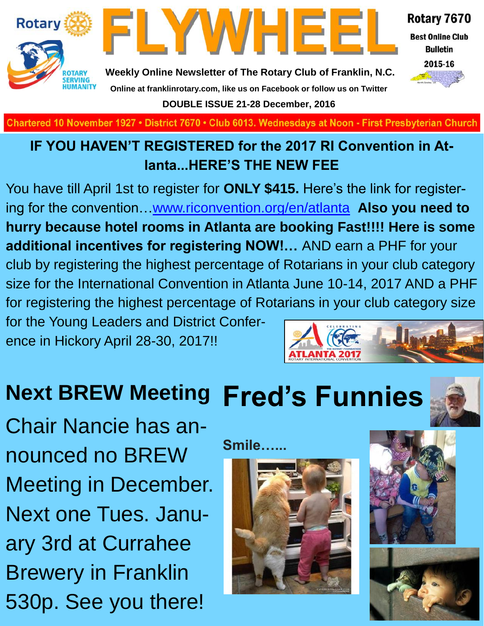

**Best Online Club Bulletin** 

2015-16



**Weekly Online Newsletter of The Rotary Club of Franklin, N.C. Online at franklinrotary.com, like us on Facebook or follow us on Twitter DOUBLE ISSUE 21-28 December, 2016**

FLYWHEEI

Chartered 10 November 1927 • District 7670 • Club 6013. Wednesdays at Noon - First Presbyterian Church

## **IF YOU HAVEN'T REGISTERED for the 2017 RI Convention in Atlanta...HERE'S THE NEW FEE**

You have till April 1st to register for **ONLY \$415.** Here's the link for registering for the convention[…www.riconvention.org/en/atlanta](http://www.riconvention.org/en/atlanta) **Also you need to hurry because hotel rooms in Atlanta are booking Fast!!!! Here is some additional incentives for registering NOW!…** AND earn a PHF for your club by registering the highest percentage of Rotarians in your club category size for the International Convention in Atlanta June 10-14, 2017 AND a PHF for registering the highest percentage of Rotarians in your club category size for the Young Leaders and District Confer-

ence in Hickory April 28-30, 2017!!

# **Fred's Funnies Next BREW Meeting**

Chair Nancie has announced no BREW Meeting in December. Next one Tues. January 3rd at Currahee Brewery in Franklin 530p. See you there!

**Smile…...**